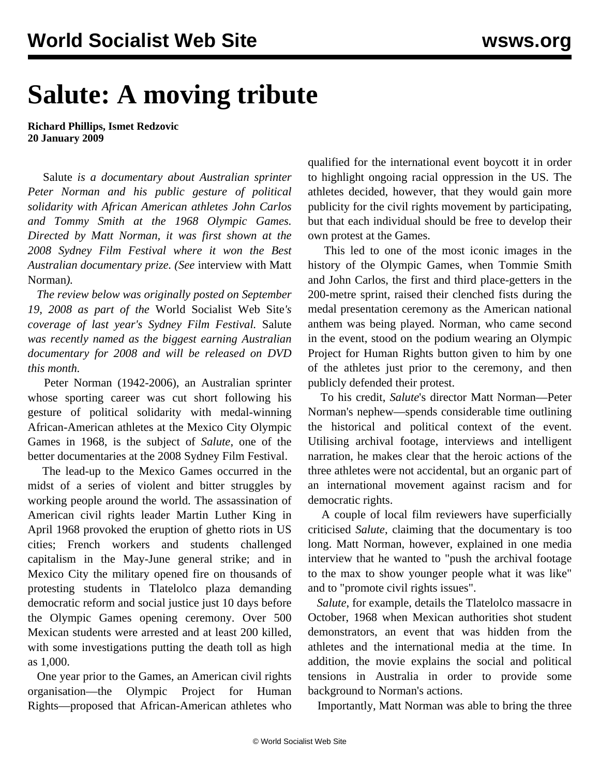## **Salute: A moving tribute**

**Richard Phillips, Ismet Redzovic 20 January 2009**

 Salute *is a documentary about Australian sprinter Peter Norman and his public gesture of political solidarity with African American athletes John Carlos and Tommy Smith at the 1968 Olympic Games. Directed by Matt Norman, it was first shown at the 2008 Sydney Film Festival where it won the Best Australian documentary prize. (See* [interview with Matt](/en/articles/2009/jan2009/mnor-j20.shtml) [Norman](/en/articles/2009/jan2009/mnor-j20.shtml)*).*

 *The review below was originally posted on September 19, 2008 as part of the* World Socialist Web Site*'s coverage of last year's Sydney Film Festival.* Salute *was recently named as the biggest earning Australian documentary for 2008 and will be released on DVD this month.*

 Peter Norman (1942-2006), an Australian sprinter whose sporting career was cut short following his gesture of political solidarity with medal-winning African-American athletes at the Mexico City Olympic Games in 1968, is the subject of *Salute*, one of the better documentaries at the 2008 Sydney Film Festival.

 The lead-up to the Mexico Games occurred in the midst of a series of violent and bitter struggles by working people around the world. The assassination of American civil rights leader Martin Luther King in April 1968 provoked the eruption of ghetto riots in US cities; French workers and students challenged capitalism in the May-June general strike; and in Mexico City the military opened fire on thousands of protesting students in Tlatelolco plaza demanding democratic reform and social justice just 10 days before the Olympic Games opening ceremony. Over 500 Mexican students were arrested and at least 200 killed, with some investigations putting the death toll as high as 1,000.

 One year prior to the Games, an American civil rights organisation—the Olympic Project for Human Rights—proposed that African-American athletes who qualified for the international event boycott it in order to highlight ongoing racial oppression in the US. The athletes decided, however, that they would gain more publicity for the civil rights movement by participating, but that each individual should be free to develop their own protest at the Games.

 This led to one of the most iconic images in the history of the Olympic Games, when Tommie Smith and John Carlos, the first and third place-getters in the 200-metre sprint, raised their clenched fists during the medal presentation ceremony as the American national anthem was being played. Norman, who came second in the event, stood on the podium wearing an Olympic Project for Human Rights button given to him by one of the athletes just prior to the ceremony, and then publicly defended their protest.

 To his credit, *Salute*'s director Matt Norman—Peter Norman's nephew—spends considerable time outlining the historical and political context of the event. Utilising archival footage, interviews and intelligent narration, he makes clear that the heroic actions of the three athletes were not accidental, but an organic part of an international movement against racism and for democratic rights.

 A couple of local film reviewers have superficially criticised *Salute*, claiming that the documentary is too long. Matt Norman, however, explained in one media interview that he wanted to "push the archival footage to the max to show younger people what it was like" and to "promote civil rights issues".

 *Salute*, for example, details the Tlatelolco massacre in October, 1968 when Mexican authorities shot student demonstrators, an event that was hidden from the athletes and the international media at the time. In addition, the movie explains the social and political tensions in Australia in order to provide some background to Norman's actions.

Importantly, Matt Norman was able to bring the three